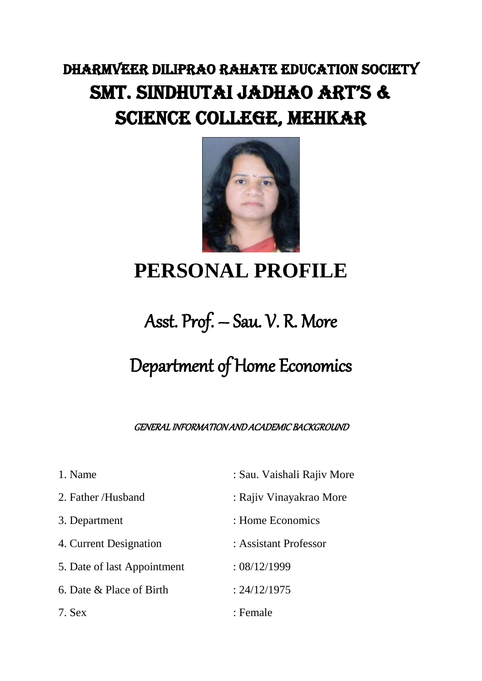### DHARMVEER DILIPRAO RAHATE EDUCATION SOCIETY SMT. SINDHUTAI JADHAO ART'S & SCIENCE COLLEGE, MEHKAR



# **PERSONAL PROFILE**

## Asst. Prof. – Sau. V. R. More

## Department of Home Economics

GENERAL INFORMATION AND ACADEMIC BACKGROUND

| 1. Name                     | : Sau. Vaishali Rajiv More |
|-----------------------------|----------------------------|
| 2. Father /Husband          | : Rajiv Vinayakrao More    |
| 3. Department               | : Home Economics           |
| 4. Current Designation      | : Assistant Professor      |
| 5. Date of last Appointment | : 08/12/1999               |
| 6. Date & Place of Birth    | : 24/12/1975               |
| 7. Sex                      | : Female                   |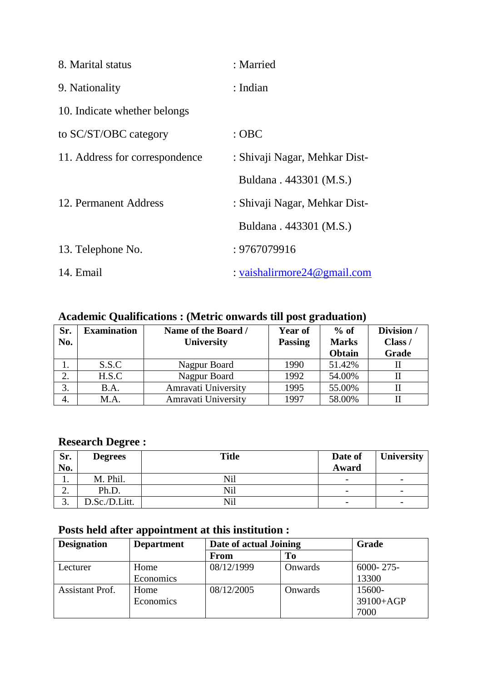| 8. Marital status              | : Married                       |
|--------------------------------|---------------------------------|
| 9. Nationality                 | : Indian                        |
| 10. Indicate whether belongs   |                                 |
| to SC/ST/OBC category          | $:$ OBC                         |
| 11. Address for correspondence | : Shivaji Nagar, Mehkar Dist-   |
|                                | Buldana . 443301 (M.S.)         |
| 12. Permanent Address          | : Shivaji Nagar, Mehkar Dist-   |
|                                | Buldana . 443301 (M.S.)         |
| 13. Telephone No.              | : 9767079916                    |
| 14. Email                      | : vaishalirmore $24@$ gmail.com |

### **Academic Qualifications : (Metric onwards till post graduation)**

| Sr.<br>No. | <b>Examination</b> | Name of the Board /<br>University | <b>Year of</b><br><b>Passing</b> | $%$ of<br><b>Marks</b><br>Obtain | Division /<br>Class /<br>Grade |
|------------|--------------------|-----------------------------------|----------------------------------|----------------------------------|--------------------------------|
|            | S.S.C              | Nagpur Board                      | 1990                             | 51.42%                           |                                |
| 2.         | H.S.C              | Nagpur Board                      | 1992                             | 54.00%                           |                                |
| 3.         | B.A.               | Amravati University               | 1995                             | 55.00%                           |                                |
| 4.         | M.A.               | Amravati University               | 1997                             | 58.00%                           |                                |

### **Research Degree :**

| Sr.<br>No. | <b>Degrees</b> | <b>Title</b> | Date of<br>Award         | <b>University</b>        |
|------------|----------------|--------------|--------------------------|--------------------------|
|            | M. Phil.       | <b>Nil</b>   | $\overline{\phantom{a}}$ | $\overline{\phantom{a}}$ |
| ۷.         | Ph.D.          | <b>Nil</b>   | $\overline{\phantom{a}}$ | $\overline{\phantom{a}}$ |
| J.         | D.Sc./D.Litt.  | Nil          | $\overline{\phantom{a}}$ | $\overline{\phantom{a}}$ |

### **Posts held after appointment at this institution :**

| <b>Designation</b>     | <b>Department</b> | Date of actual Joining |         | Grade          |
|------------------------|-------------------|------------------------|---------|----------------|
|                        |                   | From                   | To      |                |
| Lecturer               | Home              | 08/12/1999             | Onwards | $6000 - 275 -$ |
|                        | Economics         |                        |         | 13300          |
| <b>Assistant Prof.</b> | Home              | 08/12/2005             | Onwards | 15600-         |
|                        | Economics         |                        |         | 39100+AGP      |
|                        |                   |                        |         | 7000           |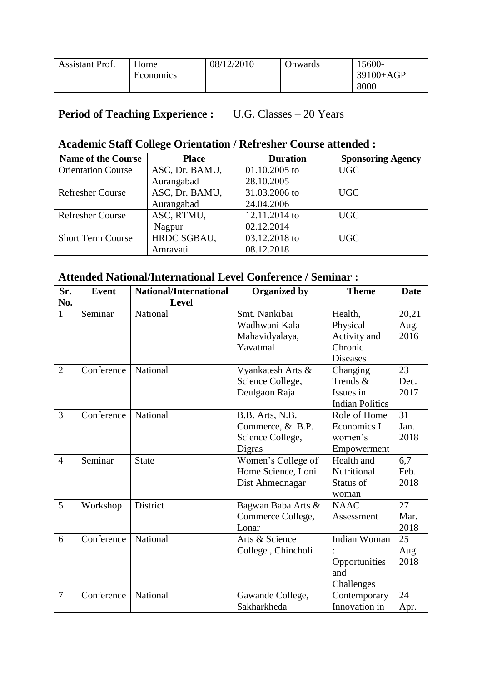| <b>Assistant Prof.</b> | Home      | 08/12/2010 | Jnwards | 15600-      |
|------------------------|-----------|------------|---------|-------------|
|                        | Economics |            |         | $39100+AGP$ |
|                        |           |            |         | 8000        |

### **Period of Teaching Experience :** U.G. Classes – 20 Years

#### **Academic Staff College Orientation / Refresher Course attended :**

| <b>Name of the Course</b> | <b>Place</b>   | <b>Duration</b> | <b>Sponsoring Agency</b> |
|---------------------------|----------------|-----------------|--------------------------|
| <b>Orientation Course</b> | ASC, Dr. BAMU, | $01.10.2005$ to | <b>UGC</b>               |
|                           | Aurangabad     | 28.10.2005      |                          |
| Refresher Course          | ASC, Dr. BAMU, | 31.03.2006 to   | <b>UGC</b>               |
|                           | Aurangabad     | 24.04.2006      |                          |
| <b>Refresher Course</b>   | ASC, RTMU,     | 12.11.2014 to   | <b>UGC</b>               |
|                           | Nagpur         | 02.12.2014      |                          |
| <b>Short Term Course</b>  | HRDC SGBAU,    | 03.12.2018 to   | <b>UGC</b>               |
|                           | Amravati       | 08.12.2018      |                          |

#### **Attended National/International Level Conference / Seminar :**

| Sr.            | <b>Event</b> | <b>National/International</b> | <b>Organized by</b> | <b>Theme</b>           | <b>Date</b> |
|----------------|--------------|-------------------------------|---------------------|------------------------|-------------|
| No.            |              | Level                         |                     |                        |             |
| 1              | Seminar      | National                      | Smt. Nankibai       | Health,                | 20,21       |
|                |              |                               | Wadhwani Kala       | Physical               | Aug.        |
|                |              |                               | Mahavidyalaya,      | Activity and           | 2016        |
|                |              |                               | Yavatmal            | Chronic                |             |
|                |              |                               |                     | <b>Diseases</b>        |             |
| $\overline{2}$ | Conference   | National                      | Vyankatesh Arts &   | Changing               | 23          |
|                |              |                               | Science College,    | Trends &               | Dec.        |
|                |              |                               | Deulgaon Raja       | Issues in              | 2017        |
|                |              |                               |                     | <b>Indian Politics</b> |             |
| 3              | Conference   | National                      | B.B. Arts, N.B.     | Role of Home           | 31          |
|                |              |                               | Commerce, & B.P.    | Economics I            | Jan.        |
|                |              |                               | Science College,    | women's                | 2018        |
|                |              |                               | Digras              | Empowerment            |             |
| $\overline{4}$ | Seminar      | <b>State</b>                  | Women's College of  | Health and             | 6,7         |
|                |              |                               | Home Science, Loni  | Nutritional            | Feb.        |
|                |              |                               | Dist Ahmednagar     | Status of              | 2018        |
|                |              |                               |                     | woman                  |             |
| 5              | Workshop     | District                      | Bagwan Baba Arts &  | <b>NAAC</b>            | 27          |
|                |              |                               | Commerce College,   | Assessment             | Mar.        |
|                |              |                               | Lonar               |                        | 2018        |
| 6              | Conference   | National                      | Arts & Science      | Indian Woman           | 25          |
|                |              |                               | College, Chincholi  |                        | Aug.        |
|                |              |                               |                     | Opportunities          | 2018        |
|                |              |                               |                     | and                    |             |
|                |              |                               |                     | Challenges             |             |
| $\overline{7}$ | Conference   | National                      | Gawande College,    | Contemporary           | 24          |
|                |              |                               | Sakharkheda         | Innovation in          | Apr.        |